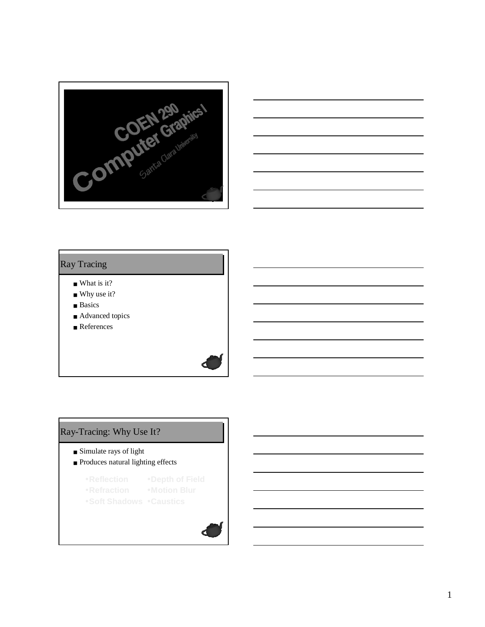



#### Ray Tracing

- What is it?
- Why use it?
- Basics
- Advanced topics
- References

# Ray-Tracing: Why Use It?

- Simulate rays of light
- Produces natural lighting effects
	- •**Reflection** •**Depth of Field**
	- •**Refraction** •**Motion Blur**
	- •**Soft Shadows** •**Caustics**

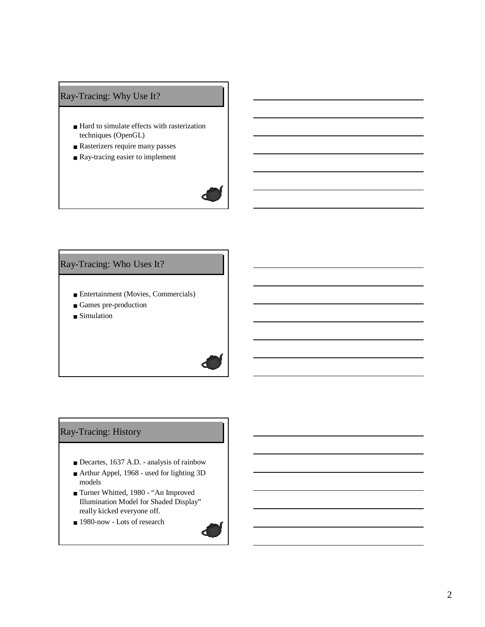# Ray-Tracing: Why Use It?

- Hard to simulate effects with rasterization techniques (OpenGL)
- Rasterizers require many passes
- Ray-tracing easier to implement



# Ray-Tracing: Who Uses It?

- Entertainment (Movies, Commercials)
- Games pre-production
- Simulation



## Ray-Tracing: History

- Decartes, 1637 A.D. analysis of rainbow
- Arthur Appel, 1968 used for lighting 3D models
- Turner Whitted, 1980 "An Improved Illumination Model for Shaded Display" really kicked everyone off.
- 1980-now Lots of research

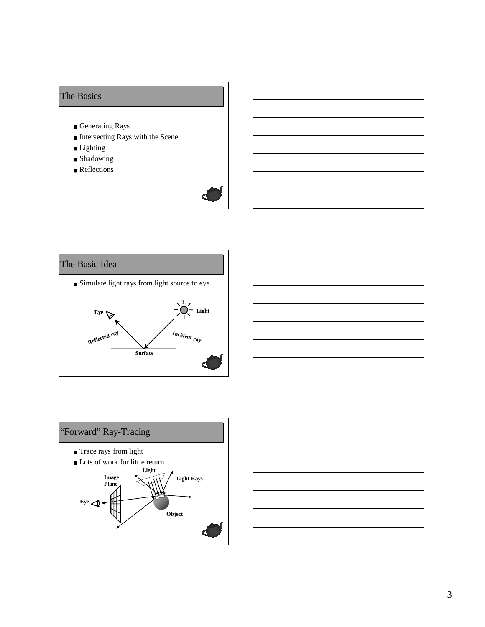## The Basics

- Generating Rays
- Intersecting Rays with the Scene
- Lighting
- Shadowing
- Reflections







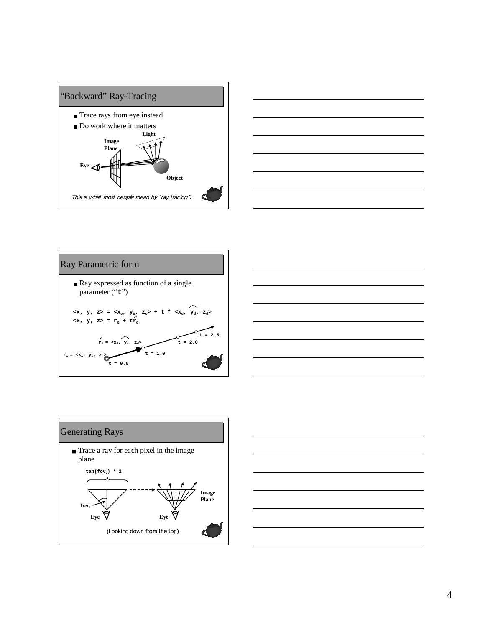









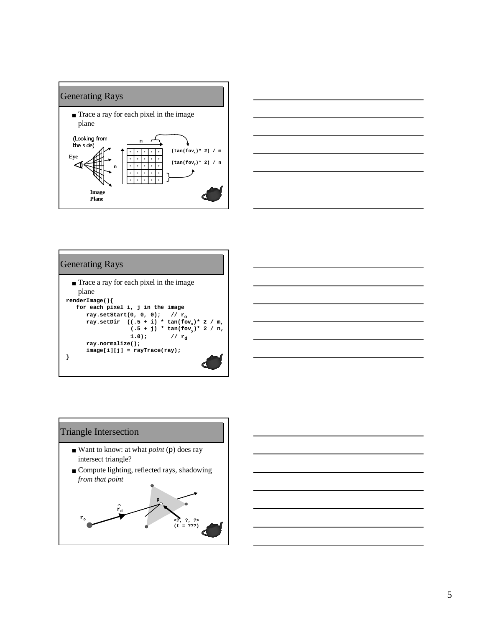





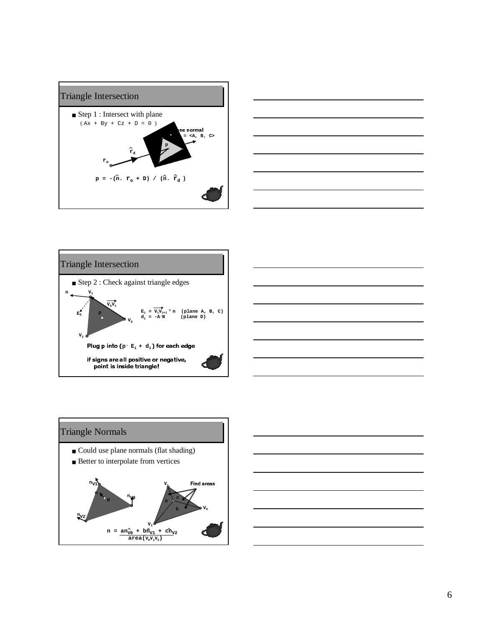









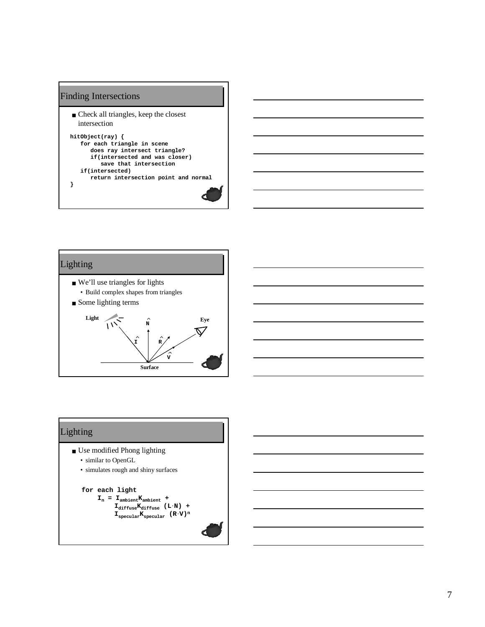# Finding Intersections

■ Check all triangles, keep the closest intersection

```
hitObject(ray) {
   for each triangle in scene
      does ray intersect triangle?
      if(intersected and was closer)
         save that intersection
   if(intersected)
      return intersection point and normal
}
```


# Lighting

- Use modified Phong lighting
	- similar to OpenGL
	- simulates rough and shiny surfaces

#### **for each light**

 $I_n = I_{ambient}K_{ambient}$  + **IdiffuseKdiffuse (L.N) +**  $\mathbf{I}_{\text{specular}}\mathbf{K}_{\text{specular}}$  (R<sup>.</sup>V)<sup>n</sup>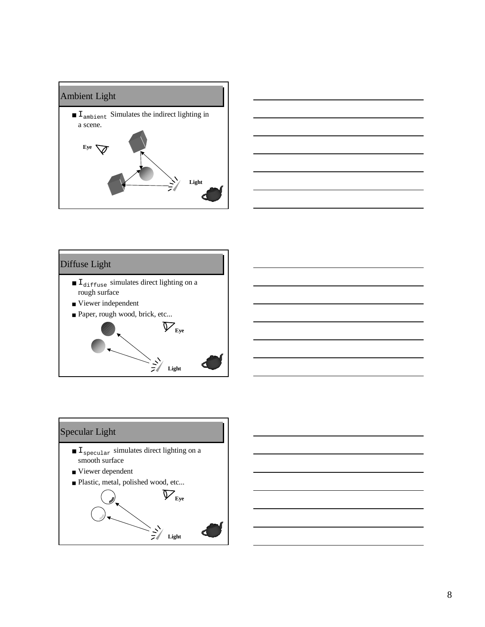







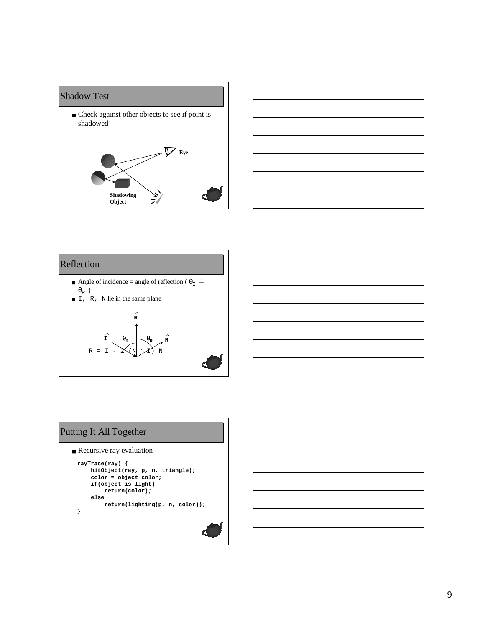





# Putting It All Together

```
■ Recursive ray evaluation
```

```
rayTrace(ray) {
    hitObject(ray, p, n, triangle);
    color = object color;
    if(object is light)
        return(color);
    else
        return(lighting(p, n, color));
}
```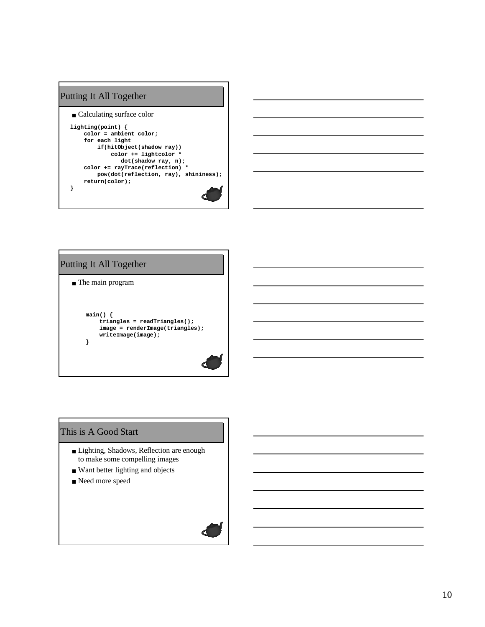

# Putting It All Together

```
■ The main program
```

```
main() {
    triangles = readTriangles();
    image = renderImage(triangles);
   writeImage(image);
}
```
#### This is A Good Start

- Lighting, Shadows, Reflection are enough to make some compelling images
- Want better lighting and objects
- Need more speed

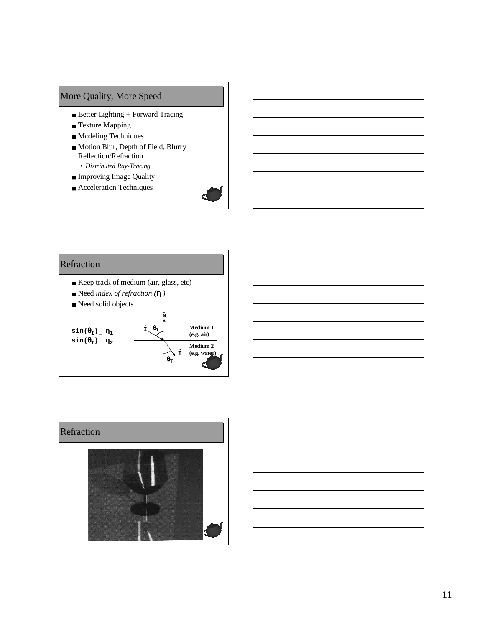# More Quality, More Speed

- Better Lighting + Forward Tracing
- Texture Mapping
- Modeling Techniques
- Motion Blur, Depth of Field, Blurry Reflection/Refraction • *Distributed Ray-Tracing*
- Improving Image Quality
- Acceleration Techniques



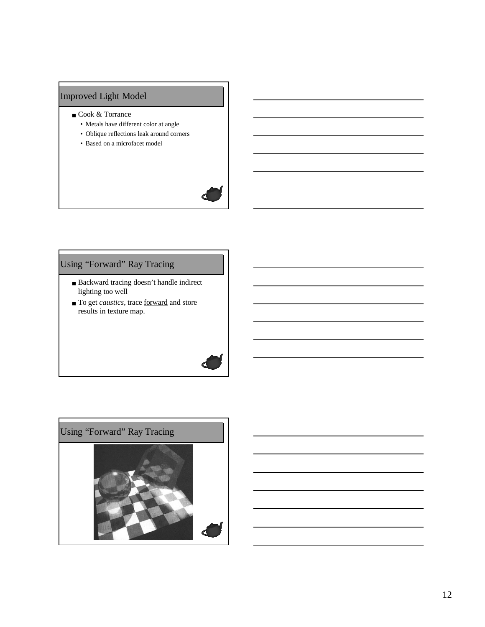# Improved Light Model

- Cook & Torrance
	- Metals have different color at angle
	- Oblique reflections leak around corners
	- Based on a microfacet model



# Using "Forward" Ray Tracing

- Backward tracing doesn't handle indirect lighting too well
- To get *caustics*, trace <u>forward</u> and store results in texture map.

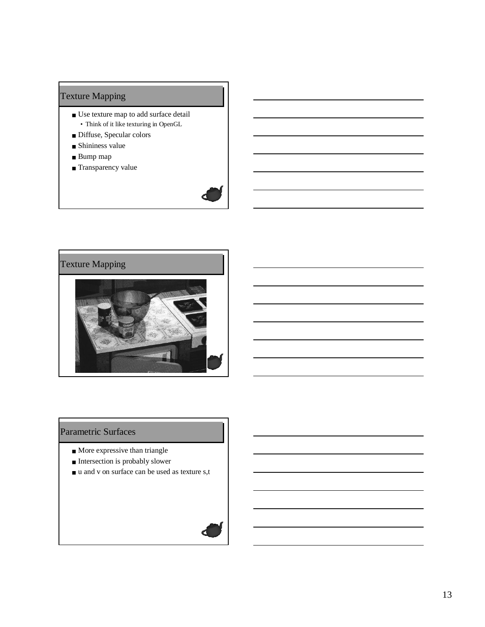# Texture Mapping

- Use texture map to add surface detail • Think of it like texturing in OpenGL
- Diffuse, Specular colors
- Shininess value
- Bump map
- Transparency value



## Parametric Surfaces

- More expressive than triangle
- Intersection is probably slower
- u and v on surface can be used as texture s,t

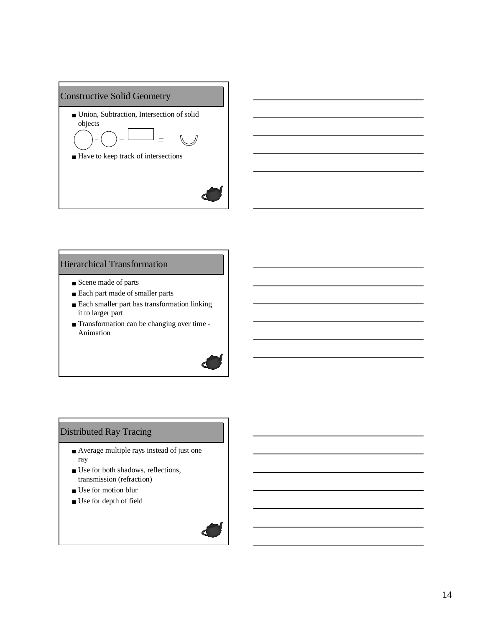

#### Hierarchical Transformation

- Scene made of parts
- Each part made of smaller parts
- Each smaller part has transformation linking it to larger part
- Transformation can be changing over time Animation



## Distributed Ray Tracing

- Average multiple rays instead of just one ray
- Use for both shadows, reflections, transmission (refraction)
- Use for motion blur
- Use for depth of field

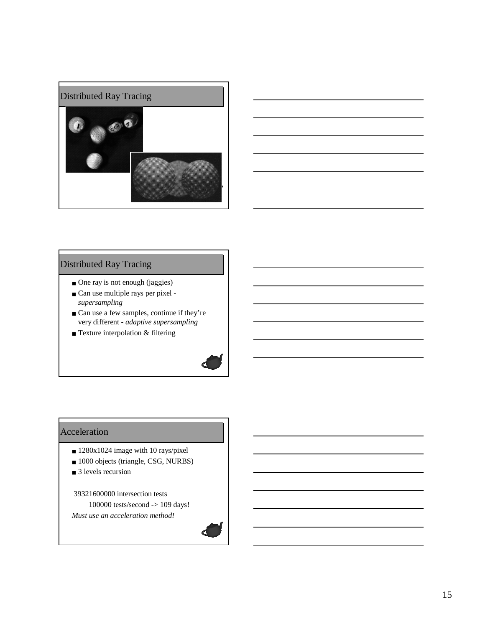



# Distributed Ray Tracing

- One ray is not enough (jaggies)
- Can use multiple rays per pixel *supersampling*
- Can use a few samples, continue if they're very different - *adaptive supersampling*
- Texture interpolation & filtering



#### Acceleration

- 1280x1024 image with 10 rays/pixel
- 1000 objects (triangle, CSG, NURBS)
- 3 levels recursion

39321600000 intersection tests 100000 tests/second -> 109 days! *Must use an acceleration method!*

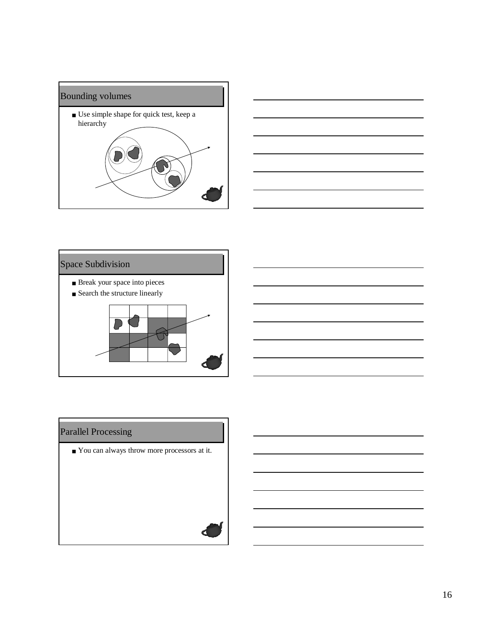



# Space Subdivision

- Break your space into pieces
- Search the structure linearly



# Parallel Processing

■ You can always throw more processors at it.